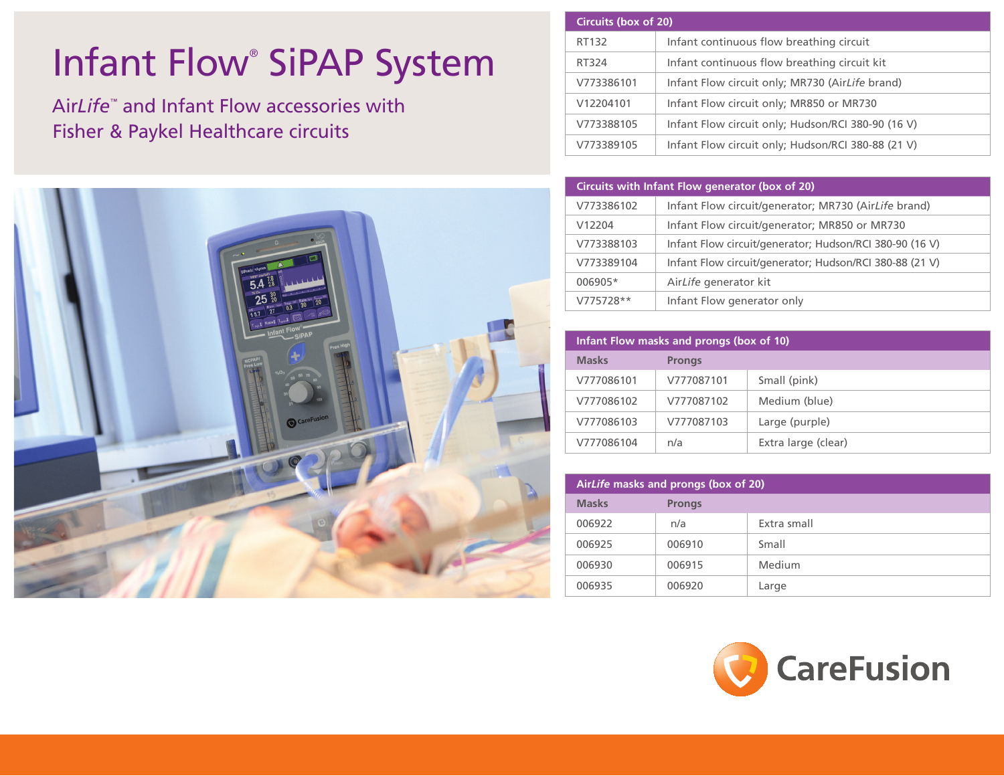## Infant Flow<sup>®</sup> SiPAP System

Air*Life*™ and Infant Flow accessories with Fisher & Paykel Healthcare circuits



| Circuits (box of 20) |                                                    |
|----------------------|----------------------------------------------------|
| RT132                | Infant continuous flow breathing circuit           |
| RT324                | Infant continuous flow breathing circuit kit       |
| V773386101           | Infant Flow circuit only; MR730 (AirLife brand)    |
| V12204101            | Infant Flow circuit only; MR850 or MR730           |
| V773388105           | Infant Flow circuit only; Hudson/RCI 380-90 (16 V) |
| V773389105           | Infant Flow circuit only; Hudson/RCI 380-88 (21 V) |

| Circuits with Infant Flow generator (box of 20) |                                                         |
|-------------------------------------------------|---------------------------------------------------------|
| V773386102                                      | Infant Flow circuit/generator; MR730 (AirLife brand)    |
| V12204                                          | Infant Flow circuit/generator; MR850 or MR730           |
| V773388103                                      | Infant Flow circuit/generator; Hudson/RCI 380-90 (16 V) |
| V773389104                                      | Infant Flow circuit/generator; Hudson/RCI 380-88 (21 V) |
| 006905*                                         | AirLife generator kit                                   |
| $V775728**$                                     | Infant Flow generator only                              |

| Infant Flow masks and prongs (box of 10) |               |                     |
|------------------------------------------|---------------|---------------------|
| <b>Masks</b>                             | <b>Prongs</b> |                     |
| V777086101                               | V777087101    | Small (pink)        |
| V777086102                               | V777087102    | Medium (blue)       |
| V777086103                               | V777087103    | Large (purple)      |
| V777086104                               | n/a           | Extra large (clear) |

| AirLife masks and prongs (box of 20) |               |             |
|--------------------------------------|---------------|-------------|
| <b>Masks</b>                         | <b>Prongs</b> |             |
| 006922                               | n/a           | Extra small |
| 006925                               | 006910        | Small       |
| 006930                               | 006915        | Medium      |
| 006935                               | 006920        | Large       |